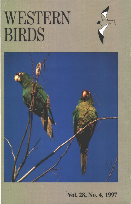## WESTERN